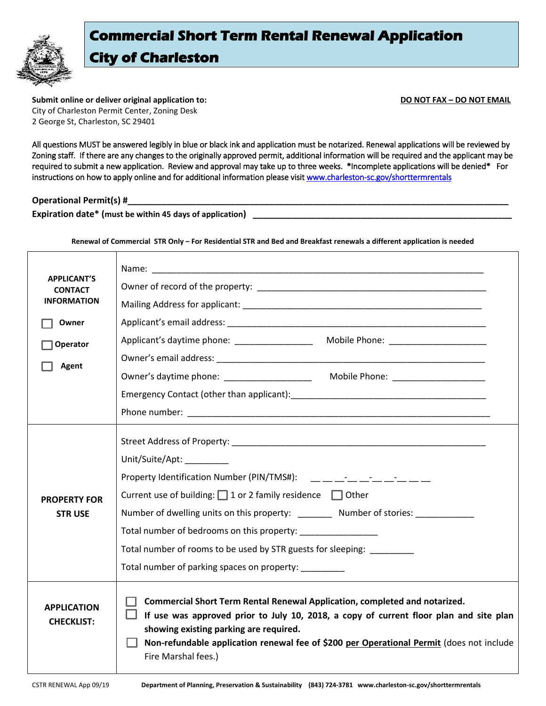

## **Commercial Short Term Rental Renewal Application City of Charleston**

**Submit online or deliver original application to: DO NOT FAX – DO NOT EMAIL** City of Charleston Permit Center, Zoning Desk 2 George St, Charleston, SC 29401

All questions MUST be answered legibly in blue or black ink and application must be notarized. Renewal applications will be reviewed by Zoning staff. If there are any changes to the originally approved permit, additional information will be required and the applicant may be required to submit a new application. Review and approval may take up to three weeks. \*Incomplete applications will be denied\* For instructions on how to apply online and for additional information please visit www.charleston-sc.gov/shorttermrentals

**Operational Permit(s) #\_** 

**Expiration date\*** (must be within 45 days of application)

**Renewal of Commercial STR Only – For Residential STR and Bed and Breakfast renewals a different application is needed**

| <b>APPLICANT'S</b><br><b>CONTACT</b><br><b>INFORMATION</b><br>Owner<br>Operator<br><b>Agent</b> |                                                                                                                                                                                                                                                                                                                                                                                                                                                                                                                                                                                                |
|-------------------------------------------------------------------------------------------------|------------------------------------------------------------------------------------------------------------------------------------------------------------------------------------------------------------------------------------------------------------------------------------------------------------------------------------------------------------------------------------------------------------------------------------------------------------------------------------------------------------------------------------------------------------------------------------------------|
|                                                                                                 | Emergency Contact (other than applicant): Emergency Contact Contact of the state of the state of the state of                                                                                                                                                                                                                                                                                                                                                                                                                                                                                  |
| <b>PROPERTY FOR</b><br><b>STRUSE</b>                                                            | Unit/Suite/Apt: ________<br>Property Identification Number (PIN/TMS#): Fig. 2. The Contract of Australian Section 1. The Contract of Australian Section 1. The Contract of Australian Section 1. The Contract of Australian Section 1. The Contract of Aus<br>Current use of building: $\Box$ 1 or 2 family residence $\Box$ Other<br>Number of dwelling units on this property: ________ Number of stories: __________<br>Total number of bedrooms on this property:<br>Total number of rooms to be used by STR guests for sleeping:<br>Total number of parking spaces on property: _________ |
| <b>APPLICATION</b><br><b>CHECKLIST:</b>                                                         | <b>Commercial Short Term Rental Renewal Application, completed and notarized.</b><br>If use was approved prior to July 10, 2018, a copy of current floor plan and site plan<br>showing existing parking are required.<br>Non-refundable application renewal fee of \$200 per Operational Permit (does not include<br>Fire Marshal fees.)                                                                                                                                                                                                                                                       |